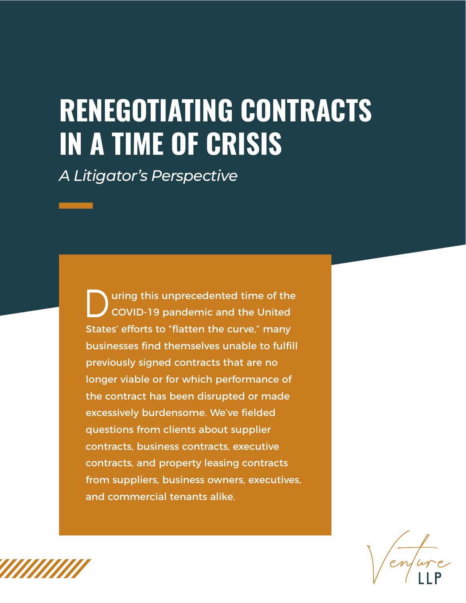### **RENEGOTIATING CONTRACTS IN A TIME OF CRISIS**

*A Litigator's Perspective*

uring this unprecedented time of the COVID-19 pandemic and the United States' efforts to "flatten the curve," many businesses find themselves unable to fulfill previously signed contracts that are no longer viable or for which performance of the contract has been disrupted or made excessively burdensome. We've fielded questions from clients about supplier contracts, business contracts, executive contracts, and property leasing contracts from suppliers, business owners, executives, and commercial tenants alike.

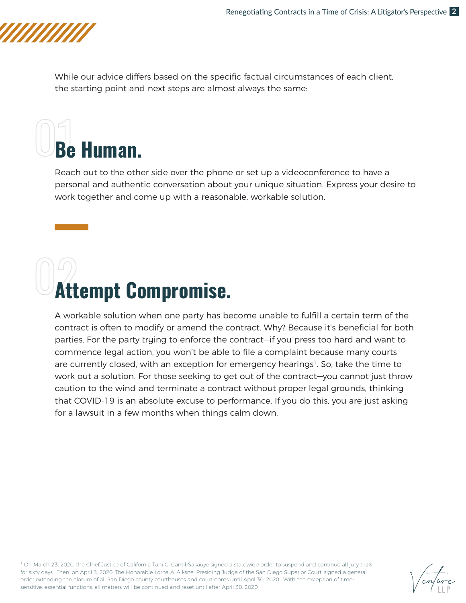

While our advice differs based on the specific factual circumstances of each client, the starting point and next steps are almost always the same:

## **Be Human.**

Reach out to the other side over the phone or set up a videoconference to have a personal and authentic conversation about your unique situation. Express your desire to work together and come up with a reasonable, workable solution.

### **Attempt Compromise.**

A workable solution when one party has become unable to fulfill a certain term of the contract is often to modify or amend the contract. Why? Because it's beneficial for both parties. For the party trying to enforce the contract—if you press too hard and want to commence legal action, you won't be able to file a complaint because many courts are currently closed, with an exception for emergency hearings<sup>1</sup>. So, take the time to work out a solution. For those seeking to get out of the contract—you cannot just throw caution to the wind and terminate a contract without proper legal grounds, thinking that COVID-19 is an absolute excuse to performance. If you do this, you are just asking for a lawsuit in a few months when things calm down.

<sup>1</sup> On March 23, 2020, the Chief Justice of California Tani G. Cantil-Sakauye signed a statewide order to suspend and continue all jury trials for sixty days. Then, on April 3, 2020, The Honorable Lorna A. Alksne, Presiding Judge of the San Diego Superior Court, signed a general order extending the closure of all San Diego county courthouses and courtrooms until April 30, 2020. With the exception of timesensitive, essential functions, all matters will be continued and reset until after April 30, 2020.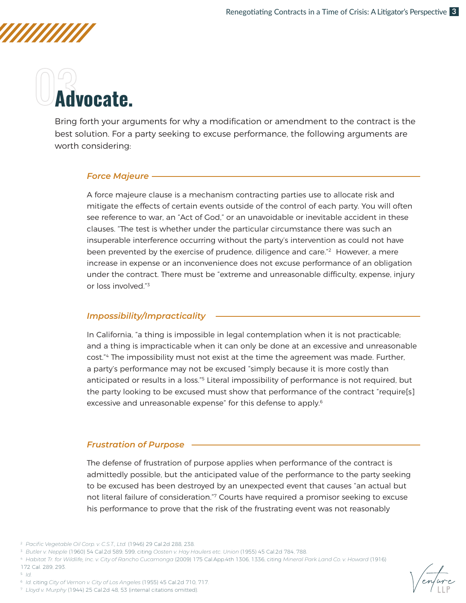## **Advocate.**

Bring forth your arguments for why a modification or amendment to the contract is the best solution. For a party seeking to excuse performance, the following arguments are worth considering:

### *Force Majeure*

A force majeure clause is a mechanism contracting parties use to allocate risk and mitigate the effects of certain events outside of the control of each party. You will often see reference to war, an "Act of God," or an unavoidable or inevitable accident in these clauses. "The test is whether under the particular circumstance there was such an insuperable interference occurring without the party's intervention as could not have been prevented by the exercise of prudence, diligence and care."<sup>2</sup> However, a mere increase in expense or an inconvenience does not excuse performance of an obligation under the contract. There must be "extreme and unreasonable difficulty, expense, injury or loss involved."3

### *Impossibility/Impracticality*

In California, "a thing is impossible in legal contemplation when it is not practicable; and a thing is impracticable when it can only be done at an excessive and unreasonable cost."4 The impossibility must not exist at the time the agreement was made. Further, a party's performance may not be excused "simply because it is more costly than anticipated or results in a loss."<sup>5</sup> Literal impossibility of performance is not required, but the party looking to be excused must show that performance of the contract "require[s] excessive and unreasonable expense" for this defense to apply.<sup>6</sup>

### *Frustration of Purpose*

The defense of frustration of purpose applies when performance of the contract is admittedly possible, but the anticipated value of the performance to the party seeking to be excused has been destroyed by an unexpected event that causes "an actual but not literal failure of consideration."7 Courts have required a promisor seeking to excuse his performance to prove that the risk of the frustrating event was not reasonably

172 Cal. 289, 293.

5 *Id.*



<sup>2</sup> *Pacific Vegetable Oil Corp. v. C.S.T., Ltd.* (1946) 29 Cal.2d 288, 238.

<sup>3</sup> *Butler v. Nepple* (1960) 54 Cal.2d 589, 599, citing *Oosten v. Hay Haulers etc. Union* (1955) 45 Cal.2d 784, 788.

<sup>4</sup> *Habitat Tr. for Wildlife, Inc. v. City of Rancho Cucamonga* (2009) 175 Cal.App.4th 1306, 1336, citing *Mineral Park Land Co. v. Howard* (1916)

<sup>6</sup> *Id.* citing *City of Vernon v. City of Los Angeles* (1955) 45 Cal.2d 710, 717.

<sup>7</sup> *Lloyd v. Murphy* (1944) 25 Cal.2d 48, 53 (internal citations omitted).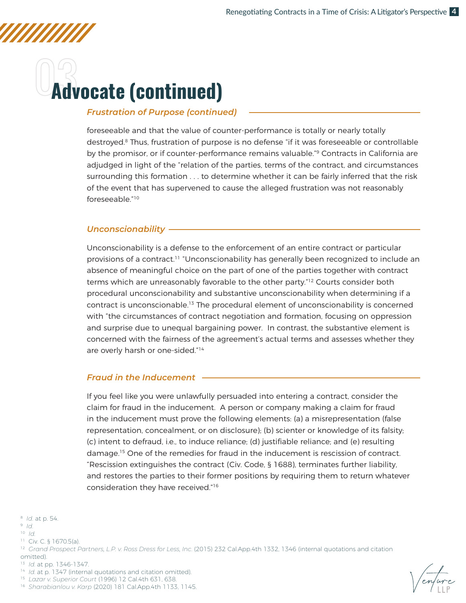### **Advocate (continued)**

### *Frustration of Purpose (continued)*

foreseeable and that the value of counter-performance is totally or nearly totally destroyed.<sup>8</sup> Thus, frustration of purpose is no defense "if it was foreseeable or controllable by the promisor, or if counter-performance remains valuable."<sup>9</sup> Contracts in California are adjudged in light of the "relation of the parties, terms of the contract, and circumstances surrounding this formation . . . to determine whether it can be fairly inferred that the risk of the event that has supervened to cause the alleged frustration was not reasonably foreseeable."10

### *Unconscionability*

Unconscionability is a defense to the enforcement of an entire contract or particular provisions of a contract.<sup>11</sup> "Unconscionability has generally been recognized to include an absence of meaningful choice on the part of one of the parties together with contract terms which are unreasonably favorable to the other party.<sup>"12</sup> Courts consider both procedural unconscionability and substantive unconscionability when determining if a contract is unconscionable.13 The procedural element of unconscionability is concerned with "the circumstances of contract negotiation and formation, focusing on oppression and surprise due to unequal bargaining power. In contrast, the substantive element is concerned with the fairness of the agreement's actual terms and assesses whether they are overly harsh or one-sided."14

### *Fraud in the Inducement*

If you feel like you were unlawfully persuaded into entering a contract, consider the claim for fraud in the inducement. A person or company making a claim for fraud in the inducement must prove the following elements: (a) a misrepresentation (false representation, concealment, or on disclosure); (b) scienter or knowledge of its falsity; (c) intent to defraud, i.e., to induce reliance; (d) justifiable reliance; and (e) resulting damage.15 One of the remedies for fraud in the inducement is rescission of contract. "Rescission extinguishes the contract (Civ. Code, § 1688), terminates further liability, and restores the parties to their former positions by requiring them to return whatever consideration they have received."16

11 Civ. C. § 1670.5(a).

- omitted).
- 13 *Id.* at pp. 1346-1347.



15 *Lazar v. Superior Court* (1996) 12 Cal.4th 631, 638.



<sup>8</sup> *Id.* at p. 54.

<sup>9</sup> *Id.*

<sup>10</sup> *Id.*

<sup>&</sup>lt;sup>12</sup> Grand Prospect Partners, L.P. v. Ross Dress for Less, Inc. (2015) 232 Cal.App.4th 1332, 1346 (internal quotations and citation

<sup>16</sup> *Sharabianlou v. Karp* (2020) 181 Cal.App.4th 1133, 1145.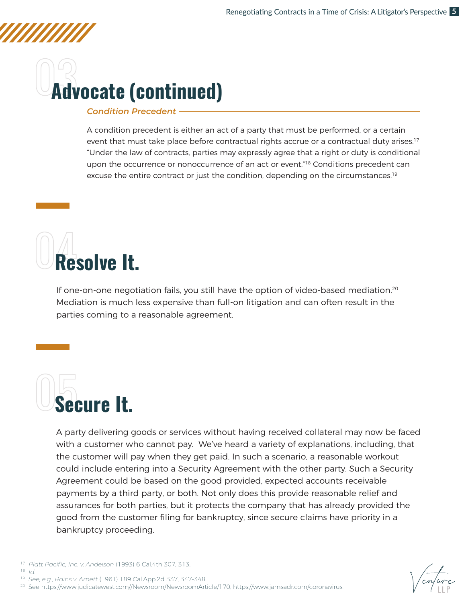## **Advocate (continued)**

### *Condition Precedent*

A condition precedent is either an act of a party that must be performed, or a certain event that must take place before contractual rights accrue or a contractual duty arises.<sup>17</sup> "Under the law of contracts, parties may expressly agree that a right or duty is conditional upon the occurrence or nonoccurrence of an act or event.<sup>"18</sup> Conditions precedent can excuse the entire contract or just the condition, depending on the circumstances.<sup>19</sup>



If one-on-one negotiation fails, you still have the option of video-based mediation.<sup>20</sup> Mediation is much less expensive than full-on litigation and can often result in the parties coming to a reasonable agreement.



A party delivering goods or services without having received collateral may now be faced with a customer who cannot pay. We've heard a variety of explanations, including, that the customer will pay when they get paid. In such a scenario, a reasonable workout could include entering into a Security Agreement with the other party. Such a Security Agreement could be based on the good provided, expected accounts receivable payments by a third party, or both. Not only does this provide reasonable relief and assurances for both parties, but it protects the company that has already provided the good from the customer filing for bankruptcy, since secure claims have priority in a bankruptcy proceeding.



- 18 *Id.*
- 19 *See, e.g., Rains v. Arnett* (1961) 189 Cal.App.2d 337, 347-348.
- 20 See https://www.judicatewest.com//Newsroom/NewsroomArticle/170, https://www.jamsadr.com/coronavirus.